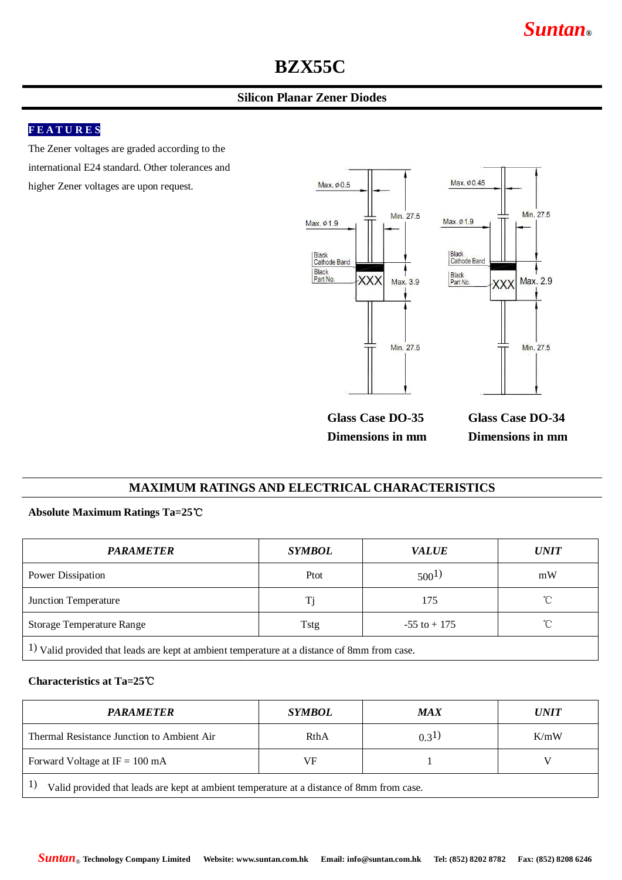# **BZX55C**

## **Silicon Planar Zener Diodes**

## **F E A T U R E S**

The Zener voltages are graded according to the international E24 standard. Other tolerances and higher Zener voltages are upon request.



**Glass Case DO-35 Dimensions in mm** **Glass Case DO-34 Dimensions in mm**

#### **MAXIMUM RATINGS AND ELECTRICAL CHARACTERISTICS**

#### **Absolute Maximum Ratings Ta=25**℃

| <b>PARAMETER</b>                 | <b>SYMBOL</b> | <b>VALUE</b>    | <b>UNIT</b>  |  |
|----------------------------------|---------------|-----------------|--------------|--|
| Power Dissipation                | Ptot          | $500^{1}$       | mW           |  |
| Junction Temperature             | Ti            | 175             | $^{\circ}$ C |  |
| <b>Storage Temperature Range</b> | Tstg          | $-55$ to $+175$ | $^{\circ}$ C |  |
| $\sim$                           |               |                 |              |  |

1) Valid provided that leads are kept at ambient temperature at a distance of 8mm from case.

#### **Characteristics at Ta=25**℃

| <b>PARAMETER</b>                                                                                | <i>SYMBOL</i> | <b>MAX</b>  | <i>UNIT</i> |  |  |  |  |  |
|-------------------------------------------------------------------------------------------------|---------------|-------------|-------------|--|--|--|--|--|
| Thermal Resistance Junction to Ambient Air                                                      | RthA          | $(0.3^{1})$ | K/mW        |  |  |  |  |  |
| Forward Voltage at $IF = 100 \text{ mA}$<br>VF                                                  |               |             |             |  |  |  |  |  |
| 1)<br>Valid provided that leads are kept at ambient temperature at a distance of 8mm from case. |               |             |             |  |  |  |  |  |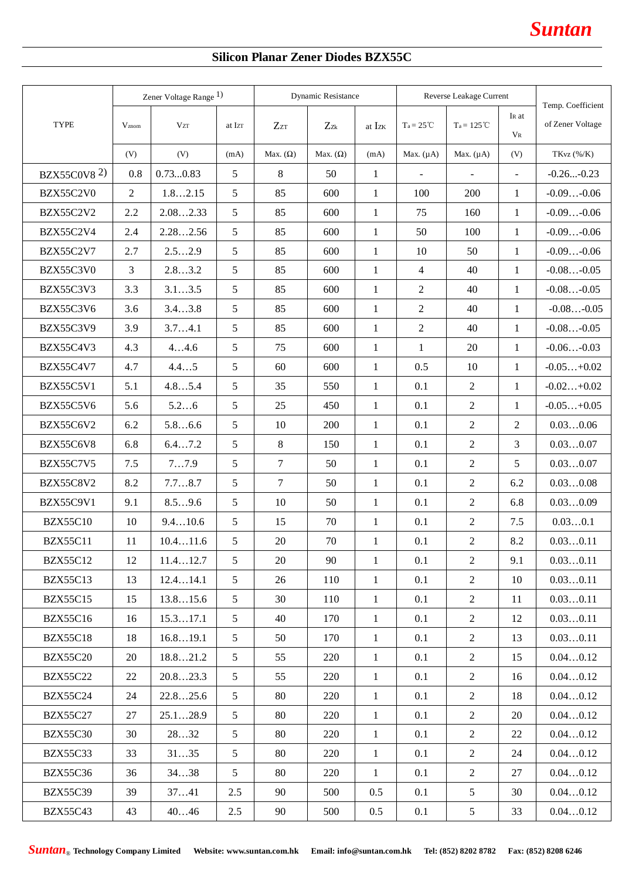# **Silicon Planar Zener Diodes BZX55C**

|                                | Zener Voltage Range <sup>1)</sup> |            | <b>Dynamic Resistance</b> |                 |                 | Reverse Leakage Current |                    |                |                              |                                       |
|--------------------------------|-----------------------------------|------------|---------------------------|-----------------|-----------------|-------------------------|--------------------|----------------|------------------------------|---------------------------------------|
| TYPE                           | $V_{\rm znom}$                    | <b>VzT</b> | at Izr                    | $Z_{ZT}$        | $Z_{Zk}$        | at Izk                  | $Ta = 25^{\circ}C$ | $Ta = 125 °C$  | I <sub>R</sub> at<br>$V_{R}$ | Temp. Coefficient<br>of Zener Voltage |
|                                | (V)                               | (V)        | (mA)                      | Max. $(\Omega)$ | Max. $(\Omega)$ | (mA)                    | Max. $(\mu A)$     | Max. $(\mu A)$ | (V)                          | TKvz (%/K)                            |
| <b>BZX55C0V8</b> <sup>2)</sup> | 0.8                               | 0.730.83   | 5                         | 8               | 50              | $\mathbf{1}$            | $\blacksquare$     | $\blacksquare$ | $\mathcal{L}^{\mathcal{A}}$  | $-0.26-0.23$                          |
| BZX55C2V0                      | $\overline{2}$                    | 1.82.15    | 5                         | 85              | 600             | $\mathbf{1}$            | 100                | 200            | $\mathbf{1}$                 | $-0.09-0.06$                          |
| BZX55C2V2                      | 2.2                               | 2.082.33   | 5                         | 85              | 600             | $\mathbf{1}$            | 75                 | 160            | $\mathbf{1}$                 | $-0.09-0.06$                          |
| BZX55C2V4                      | 2.4                               | 2.282.56   | 5                         | 85              | 600             | $\mathbf{1}$            | 50                 | 100            | $\mathbf{1}$                 | $-0.09-0.06$                          |
| BZX55C2V7                      | 2.7                               | 2.52.9     | 5                         | 85              | 600             | $\mathbf{1}$            | 10                 | 50             | $\mathbf{1}$                 | $-0.09-0.06$                          |
| BZX55C3V0                      | 3                                 | 2.83.2     | 5                         | 85              | 600             | $\mathbf{1}$            | $\overline{4}$     | 40             | $\mathbf{1}$                 | $-0.08-0.05$                          |
| BZX55C3V3                      | 3.3                               | 3.13.5     | 5                         | 85              | 600             | $\mathbf{1}$            | $\overline{2}$     | 40             | $\mathbf{1}$                 | $-0.08-0.05$                          |
| BZX55C3V6                      | 3.6                               | 3.43.8     | 5                         | 85              | 600             | $\mathbf{1}$            | $\overline{2}$     | 40             | $\mathbf{1}$                 | $-0.08-0.05$                          |
| <b>BZX55C3V9</b>               | 3.9                               | 3.74.1     | 5                         | 85              | 600             | $\mathbf{1}$            | $\overline{2}$     | 40             | $\mathbf{1}$                 | $-0.08-0.05$                          |
| BZX55C4V3                      | 4.3                               | 44.6       | 5                         | 75              | 600             | $\mathbf{1}$            | $\mathbf{1}$       | 20             | $\mathbf{1}$                 | $-0.06-0.03$                          |
| BZX55C4V7                      | 4.7                               | 4.45       | 5                         | 60              | 600             | $\mathbf{1}$            | 0.5                | 10             | $\mathbf{1}$                 | $-0.05+0.02$                          |
| <b>BZX55C5V1</b>               | 5.1                               | 4.85.4     | 5                         | 35              | 550             | $\mathbf{1}$            | 0.1                | $\overline{2}$ | $\mathbf{1}$                 | $-0.02+0.02$                          |
| BZX55C5V6                      | 5.6                               | 5.26       | 5                         | 25              | 450             | $\mathbf{1}$            | 0.1                | $\overline{2}$ | $\mathbf{1}$                 | $-0.05+0.05$                          |
| BZX55C6V2                      | 6.2                               | 5.86.6     | 5                         | 10              | 200             | $\mathbf{1}$            | 0.1                | $\overline{2}$ | $\overline{2}$               | 0.030.06                              |
| BZX55C6V8                      | 6.8                               | 6.47.2     | 5                         | 8               | 150             | $\mathbf{1}$            | 0.1                | $\overline{2}$ | 3                            | 0.030.07                              |
| <b>BZX55C7V5</b>               | 7.5                               | 77.9       | 5                         | 7               | 50              | 1                       | 0.1                | $\overline{2}$ | 5                            | 0.030.07                              |
| <b>BZX55C8V2</b>               | 8.2                               | 7.78.7     | 5                         | $\tau$          | 50              | $\mathbf{1}$            | 0.1                | $\overline{2}$ | 6.2                          | 0.030.08                              |
| <b>BZX55C9V1</b>               | 9.1                               | 8.59.6     | 5                         | 10              | 50              | $1\,$                   | 0.1                | $\overline{2}$ | 6.8                          | 0.030.09                              |
| <b>BZX55C10</b>                | 10                                | 9.410.6    | 5                         | 15              | 70              | $\mathbf{1}$            | 0.1                | $\overline{2}$ | 7.5                          | 0.030.1                               |
| <b>BZX55C11</b>                | 11                                | 10.411.6   | 5                         | 20              | 70              | $\mathbf{1}$            | 0.1                | $\overline{2}$ | 8.2                          | 0.030.11                              |
| <b>BZX55C12</b>                | 12                                | 11.412.7   | 5                         | 20              | 90              | $\mathbf{1}$            | 0.1                | $\overline{2}$ | 9.1                          | 0.030.11                              |
| <b>BZX55C13</b>                | 13                                | 12.414.1   | 5                         | 26              | 110             | $\mathbf{1}$            | 0.1                | $\overline{2}$ | 10                           | 0.030.11                              |
| <b>BZX55C15</b>                | 15                                | 13.815.6   | 5                         | 30              | 110             | $\mathbf{1}$            | 0.1                | $\overline{2}$ | 11                           | 0.030.11                              |
| <b>BZX55C16</b>                | 16                                | 15.317.1   | 5 <sup>5</sup>            | 40              | 170             | $\mathbf{1}$            | 0.1                | $\overline{2}$ | 12                           | 0.030.11                              |
| <b>BZX55C18</b>                | 18                                | 16.819.1   | $5\overline{)}$           | 50              | 170             | $\mathbf{1}$            | 0.1                | $\overline{2}$ | 13                           | 0.030.11                              |
| <b>BZX55C20</b>                | 20                                | 18.821.2   | $5\overline{)}$           | 55              | 220             | $\mathbf{1}$            | 0.1                | $\overline{2}$ | 15                           | 0.040.12                              |
| <b>BZX55C22</b>                | 22                                | 20.823.3   | 5                         | 55              | 220             | $\mathbf{1}$            | 0.1                | $\overline{2}$ | 16                           | 0.040.12                              |
| <b>BZX55C24</b>                | 24                                | 22.825.6   | 5                         | 80              | 220             | $\mathbf{1}$            | 0.1                | $\overline{2}$ | 18                           | 0.040.12                              |
| <b>BZX55C27</b>                | 27                                | 25.128.9   | 5 <sup>5</sup>            | 80              | 220             | $\mathbf{1}$            | 0.1                | $\overline{2}$ | 20                           | 0.040.12                              |
| <b>BZX55C30</b>                | 30                                | 2832       | 5                         | 80              | 220             | $\mathbf{1}$            | 0.1                | $\overline{c}$ | 22                           | 0.040.12                              |
| <b>BZX55C33</b>                | 33                                | 3135       | 5                         | 80              | 220             | $\mathbf{1}$            | 0.1                | $\overline{2}$ | 24                           | 0.040.12                              |
| <b>BZX55C36</b>                | 36                                | 3438       | 5                         | 80              | 220             | $\mathbf{1}$            | 0.1                | $\overline{2}$ | 27                           | 0.040.12                              |
| <b>BZX55C39</b>                | 39                                | 3741       | 2.5                       | 90              | 500             | 0.5                     | 0.1                | 5              | 30                           | 0.040.12                              |
| <b>BZX55C43</b>                | 43                                | 4046       | $2.5\,$                   | 90              | 500             | $0.5\,$                 | 0.1                | 5              | 33                           | 0.040.12                              |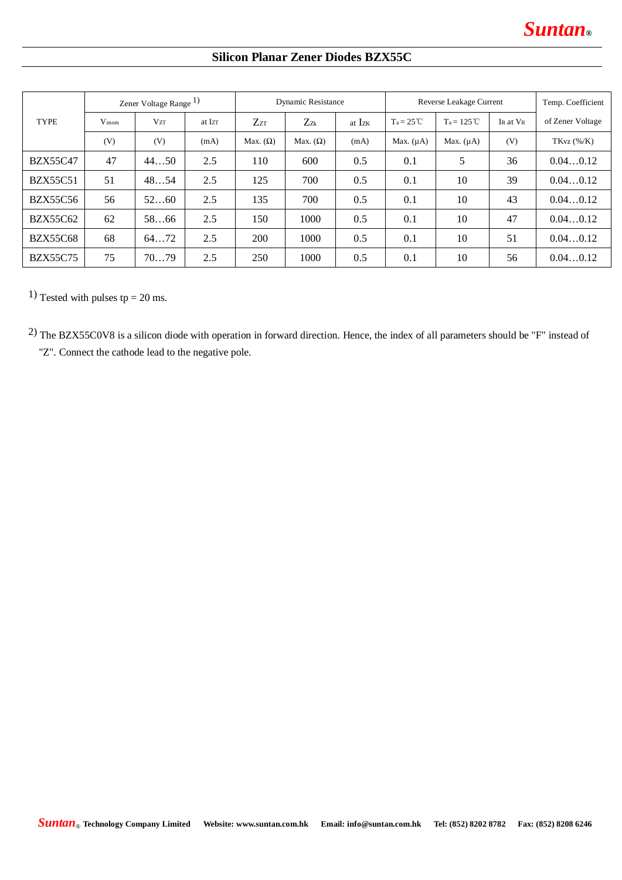# **Silicon Planar Zener Diodes BZX55C**

|                 | Zener Voltage Range <sup>1)</sup> |            |        | Dynamic Resistance |                 |        | Reverse Leakage Current |                |          | Temp. Coefficient |
|-----------------|-----------------------------------|------------|--------|--------------------|-----------------|--------|-------------------------|----------------|----------|-------------------|
| <b>TYPE</b>     | $V_{\rm znom}$                    | <b>VzT</b> | at Izr | $Z_{ZT}$           | $Z_{Zk}$        | at Izk | $T_a = 25^{\circ}C$     | $Ta = 125 °C$  | IR at VR | of Zener Voltage  |
|                 | (V)                               | (V)        | (mA)   | Max. $(\Omega)$    | Max. $(\Omega)$ | (mA)   | Max. $(\mu A)$          | Max. $(\mu A)$ | (V)      | $TKvz$ (%/K)      |
| <b>BZX55C47</b> | 47                                | 4450       | 2.5    | 110                | 600             | 0.5    | 0.1                     | 5              | 36       | 0.040.12          |
| <b>BZX55C51</b> | 51                                | 4854       | 2.5    | 125                | 700             | 0.5    | 0.1                     | 10             | 39       | 0.040.12          |
| <b>BZX55C56</b> | 56                                | 5260       | 2.5    | 135                | 700             | 0.5    | 0.1                     | 10             | 43       | 0.040.12          |
| <b>BZX55C62</b> | 62                                | 5866       | 2.5    | 150                | 1000            | 0.5    | 0.1                     | 10             | 47       | 0.040.12          |
| <b>BZX55C68</b> | 68                                | 6472       | 2.5    | <b>200</b>         | 1000            | 0.5    | 0.1                     | 10             | 51       | 0.040.12          |
| <b>BZX55C75</b> | 75                                | 7079       | 2.5    | 250                | 1000            | 0.5    | 0.1                     | 10             | 56       | 0.040.12          |

1) Tested with pulses tp =  $20$  ms.

2) The BZX55C0V8 is a silicon diode with operation in forward direction. Hence, the index of all parameters should be "F" instead of "Z". Connect the cathode lead to the negative pole.